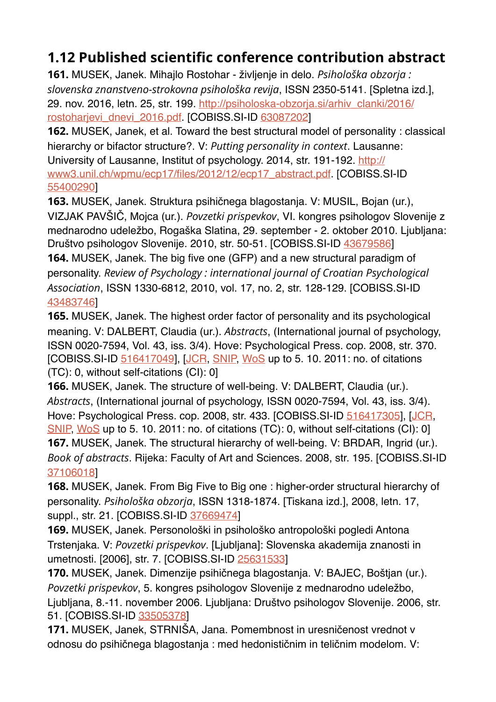## **1.12 Published scientific conference contribution abstract**

**161.** MUSEK, Janek. Mihajlo Rostohar - življenje in delo. *Psihološka obzorja : slovenska znanstveno-strokovna psihološka revija*, ISSN 2350-5141. [Spletna izd.], 29. nov. 2016, letn. 25, str. 199. [http://psiholoska-obzorja.si/arhiv\\_clanki/2016/](http://psiholoska-obzorja.si/arhiv_clanki/2016/rostoharjevi_dnevi_2016.pdf) [rostoharjevi\\_dnevi\\_2016.pdf.](http://psiholoska-obzorja.si/arhiv_clanki/2016/rostoharjevi_dnevi_2016.pdf) [COBISS.SI-ID [63087202](https://plus.si.cobiss.net/opac7/bib/63087202?lang=en)]

**162.** MUSEK, Janek, et al. Toward the best structural model of personality : classical hierarchy or bifactor structure?. V: *Putting personality in context*. Lausanne: University of Lausanne, Institut of psychology. 2014, str. 191-192. [http://](http://www3.unil.ch/wpmu/ecp17/files/2012/12/ecp17_abstract.pdf) [www3.unil.ch/wpmu/ecp17/files/2012/12/ecp17\\_abstract.pdf](http://www3.unil.ch/wpmu/ecp17/files/2012/12/ecp17_abstract.pdf). [COBISS.SI-ID [55400290\]](https://plus.si.cobiss.net/opac7/bib/55400290?lang=en)

**163.** MUSEK, Janek. Struktura psihičnega blagostanja. V: MUSIL, Bojan (ur.), VIZJAK PAVŠIČ, Mojca (ur.). *Povzetki prispevkov*, VI. kongres psihologov Slovenije z mednarodno udeležbo, Rogaška Slatina, 29. september - 2. oktober 2010. Ljubljana: Društvo psihologov Slovenije. 2010, str. 50-51. [COBISS.SI-ID [43679586](https://plus.si.cobiss.net/opac7/bib/43679586?lang=en)] **164.** MUSEK, Janek. The big five one (GFP) and a new structural paradigm of personality. *Review of Psychology : international journal of Croatian Psychological Association*, ISSN 1330-6812, 2010, vol. 17, no. 2, str. 128-129. [COBISS.SI-ID [43483746\]](https://plus.si.cobiss.net/opac7/bib/43483746?lang=en)

**165.** MUSEK, Janek. The highest order factor of personality and its psychological meaning. V: DALBERT, Claudia (ur.). *Abstracts*, (International journal of psychology, ISSN 0020-7594, Vol. 43, iss. 3/4). Hove: Psychological Press. cop. 2008, str. 370. [COBISS.SI-ID [516417049](https://plus.si.cobiss.net/opac7/bib/516417049?lang=en)], [\[JCR](https://plus.si.cobiss.net/opac7/jcr?c=sc=0020-7594+and+PY=2008&r1=true&lang=en), [SNIP,](https://plus.si.cobiss.net/opac7/snip?c=sc=0020-7594+and+PY=2008&r1=true&lang=en) [WoS](http://gateway.isiknowledge.com/gateway/Gateway.cgi?GWVersion=2&SrcAuth=Alerting&SrcApp=Alerting&DestApp=WOS&DestLinkType=FullRecord&UT=000259264304395) up to 5. 10. 2011: no. of citations (TC): 0, without self-citations (CI): 0]

**166.** MUSEK, Janek. The structure of well-being. V: DALBERT, Claudia (ur.). *Abstracts*, (International journal of psychology, ISSN 0020-7594, Vol. 43, iss. 3/4). Hove: Psychological Press. cop. 2008, str. 433. [COBISS.SI-ID [516417305](https://plus.si.cobiss.net/opac7/bib/516417305?lang=en)], [\[JCR](https://plus.si.cobiss.net/opac7/jcr?c=sc=0020-7594+and+PY=2008&r1=true&lang=en), [SNIP,](https://plus.si.cobiss.net/opac7/snip?c=sc=0020-7594+and+PY=2008&r1=true&lang=en) [WoS](http://gateway.isiknowledge.com/gateway/Gateway.cgi?GWVersion=2&SrcAuth=Alerting&SrcApp=Alerting&DestApp=WOS&DestLinkType=FullRecord&UT=000259264305094) up to 5. 10. 2011: no. of citations (TC): 0, without self-citations (CI): 0] **167.** MUSEK, Janek. The structural hierarchy of well-being. V: BRDAR, Ingrid (ur.). *Book of abstracts*. Rijeka: Faculty of Art and Sciences. 2008, str. 195. [COBISS.SI-ID [37106018\]](https://plus.si.cobiss.net/opac7/bib/37106018?lang=en)

**168.** MUSEK, Janek. From Big Five to Big one : higher-order structural hierarchy of personality. *Psihološka obzorja*, ISSN 1318-1874. [Tiskana izd.], 2008, letn. 17, suppl., str. 21. [COBISS.SI-ID [37669474](https://plus.si.cobiss.net/opac7/bib/37669474?lang=en)]

**169.** MUSEK, Janek. Personološki in psihološko antropološki pogledi Antona Trstenjaka. V: *Povzetki prispevkov*. [Ljubljana]: Slovenska akademija znanosti in umetnosti. [2006], str. 7. [COBISS.SI-ID [25631533](https://plus.si.cobiss.net/opac7/bib/25631533?lang=en)]

**170.** MUSEK, Janek. Dimenzije psihičnega blagostanja. V: BAJEC, Boštjan (ur.). *Povzetki prispevkov*, 5. kongres psihologov Slovenije z mednarodno udeležbo, Ljubljana, 8.-11. november 2006. Ljubljana: Društvo psihologov Slovenije. 2006, str. 51. [COBISS.SI-ID [33505378](https://plus.si.cobiss.net/opac7/bib/33505378?lang=en)]

**171.** MUSEK, Janek, STRNIŠA, Jana. Pomembnost in uresničenost vrednot v odnosu do psihičnega blagostanja : med hedonističnim in teličnim modelom. V: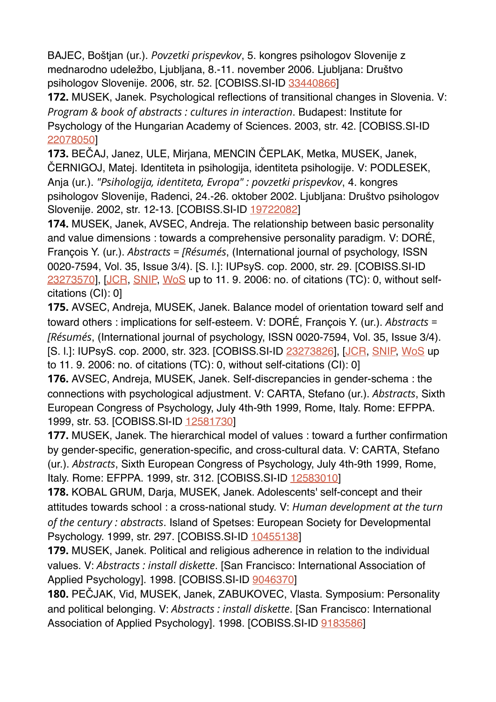BAJEC, Boštjan (ur.). *Povzetki prispevkov*, 5. kongres psihologov Slovenije z mednarodno udeležbo, Ljubljana, 8.-11. november 2006. Ljubljana: Društvo psihologov Slovenije. 2006, str. 52. [COBISS.SI-ID [33440866](https://plus.si.cobiss.net/opac7/bib/33440866?lang=en)]

**172.** MUSEK, Janek. Psychological reflections of transitional changes in Slovenia. V: *Program & book of abstracts : cultures in interaction*. Budapest: Institute for Psychology of the Hungarian Academy of Sciences. 2003, str. 42. [COBISS.SI-ID [22078050\]](https://plus.si.cobiss.net/opac7/bib/22078050?lang=en)

**173.** BEČAJ, Janez, ULE, Mirjana, MENCIN ČEPLAK, Metka, MUSEK, Janek, ČERNIGOJ, Matej. Identiteta in psihologija, identiteta psihologije. V: PODLESEK, Anja (ur.). *"Psihologija, identiteta, Evropa" : povzetki prispevkov*, 4. kongres psihologov Slovenije, Radenci, 24.-26. oktober 2002. Ljubljana: Društvo psihologov Slovenije. 2002, str. 12-13. [COBISS.SI-ID [19722082](https://plus.si.cobiss.net/opac7/bib/19722082?lang=en)]

**174.** MUSEK, Janek, AVSEC, Andreja. The relationship between basic personality and value dimensions : towards a comprehensive personality paradigm. V: DORÉ, François Y. (ur.). *Abstracts = [Résumés*, (International journal of psychology, ISSN 0020-7594, Vol. 35, Issue 3/4). [S. l.]: IUPsyS. cop. 2000, str. 29. [COBISS.SI-ID [23273570\]](https://plus.si.cobiss.net/opac7/bib/23273570?lang=en), [\[JCR](https://plus.si.cobiss.net/opac7/jcr?c=sc=0020-7594+and+PY=2000&r1=true&lang=en), [SNIP,](https://plus.si.cobiss.net/opac7/snip?c=sc=0020-7594+and+PY=2000&r1=true&lang=en) [WoS](http://gateway.isiknowledge.com/gateway/Gateway.cgi?GWVersion=2&SrcAuth=Alerting&SrcApp=Alerting&DestApp=WOS&DestLinkType=FullRecord&UT=000088388800275) up to 11. 9. 2006: no. of citations (TC): 0, without selfcitations (CI): 0]

**175.** AVSEC, Andreja, MUSEK, Janek. Balance model of orientation toward self and toward others : implications for self-esteem. V: DORÉ, François Y. (ur.). *Abstracts = [Résumés*, (International journal of psychology, ISSN 0020-7594, Vol. 35, Issue 3/4). [S. l.]: IUPsyS. cop. 2000, str. 323. [COBISS.SI-ID [23273826](https://plus.si.cobiss.net/opac7/bib/23273826?lang=en)], [[JCR](https://plus.si.cobiss.net/opac7/jcr?c=sc=0020-7594+and+PY=2000&r1=true&lang=en), [SNIP,](https://plus.si.cobiss.net/opac7/snip?c=sc=0020-7594+and+PY=2000&r1=true&lang=en) [WoS](http://gateway.isiknowledge.com/gateway/Gateway.cgi?GWVersion=2&SrcAuth=Alerting&SrcApp=Alerting&DestApp=WOS&DestLinkType=FullRecord&UT=000088388803155) up to 11. 9. 2006: no. of citations (TC): 0, without self-citations (CI): 0]

**176.** AVSEC, Andreja, MUSEK, Janek. Self-discrepancies in gender-schema : the connections with psychological adjustment. V: CARTA, Stefano (ur.). *Abstracts*, Sixth European Congress of Psychology, July 4th-9th 1999, Rome, Italy. Rome: EFPPA. 1999, str. 53. [COBISS.SI-ID [12581730](https://plus.si.cobiss.net/opac7/bib/12581730?lang=en)]

**177.** MUSEK, Janek. The hierarchical model of values : toward a further confirmation by gender-specific, generation-specific, and cross-cultural data. V: CARTA, Stefano (ur.). *Abstracts*, Sixth European Congress of Psychology, July 4th-9th 1999, Rome, Italy. Rome: EFPPA. 1999, str. 312. [COBISS.SI-ID [12583010\]](https://plus.si.cobiss.net/opac7/bib/12583010?lang=en)

**178.** KOBAL GRUM, Darja, MUSEK, Janek. Adolescents' self-concept and their attitudes towards school : a cross-national study. V: *Human development at the turn of the century : abstracts*. Island of Spetses: European Society for Developmental Psychology. 1999, str. 297. [COBISS.SI-ID [10455138](https://plus.si.cobiss.net/opac7/bib/10455138?lang=en)]

**179.** MUSEK, Janek. Political and religious adherence in relation to the individual values. V: *Abstracts : install diskette*. [San Francisco: International Association of Applied Psychology]. 1998. [COBISS.SI-ID [9046370\]](https://plus.si.cobiss.net/opac7/bib/9046370?lang=en)

**180.** PEČJAK, Vid, MUSEK, Janek, ZABUKOVEC, Vlasta. Symposium: Personality and political belonging. V: *Abstracts : install diskette*. [San Francisco: International Association of Applied Psychology]. 1998. [COBISS.SI-ID [9183586](https://plus.si.cobiss.net/opac7/bib/9183586?lang=en)]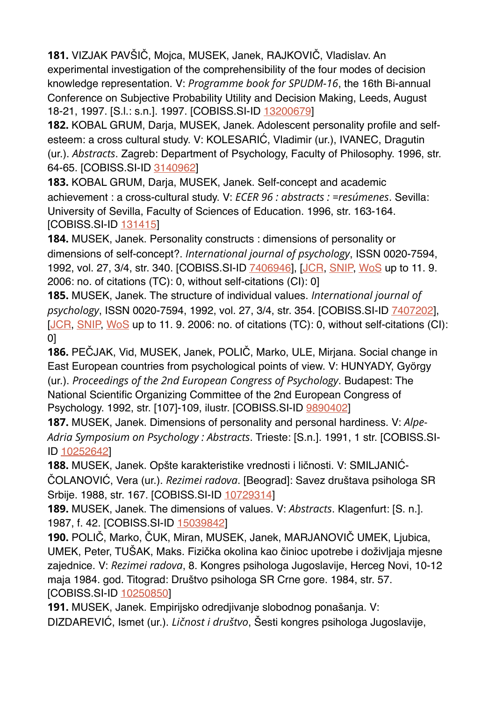**181.** VIZJAK PAVŠIČ, Mojca, MUSEK, Janek, RAJKOVIČ, Vladislav. An experimental investigation of the comprehensibility of the four modes of decision knowledge representation. V: *Programme book for SPUDM-16*, the 16th Bi-annual Conference on Subjective Probability Utility and Decision Making, Leeds, August 18-21, 1997. [S.l.: s.n.]. 1997. [COBISS.SI-ID [13200679](https://plus.si.cobiss.net/opac7/bib/13200679?lang=en)]

**182.** KOBAL GRUM, Darja, MUSEK, Janek. Adolescent personality profile and selfesteem: a cross cultural study. V: KOLESARIĆ, Vladimir (ur.), IVANEC, Dragutin (ur.). *Abstracts*. Zagreb: Department of Psychology, Faculty of Philosophy. 1996, str. 64-65. [COBISS.SI-ID [3140962\]](https://plus.si.cobiss.net/opac7/bib/3140962?lang=en)

**183.** KOBAL GRUM, Darja, MUSEK, Janek. Self-concept and academic achievement : a cross-cultural study. V: *ECER 96 : abstracts : =resúmenes*. Sevilla: University of Sevilla, Faculty of Sciences of Education. 1996, str. 163-164. [COBISS.SI-ID [131415\]](https://plus.si.cobiss.net/opac7/bib/131415?lang=en)

**184.** MUSEK, Janek. Personality constructs : dimensions of personality or dimensions of self-concept?. *International journal of psychology*, ISSN 0020-7594, 1992, vol. 27, 3/4, str. 340. [COBISS.SI-ID  $\overline{7406946}$ ], [\[JCR](https://plus.si.cobiss.net/opac7/jcr?c=sc=0020-7594+and+PY=1994&r1=true&lang=en), [SNIP,](https://plus.si.cobiss.net/opac7/snip?c=sc=0020-7594+and+PY=1999&r1=true&lang=en) [WoS](http://gateway.isiknowledge.com/gateway/Gateway.cgi?GWVersion=2&SrcAuth=Alerting&SrcApp=Alerting&DestApp=WOS&DestLinkType=FullRecord&UT=A1992JF42001813) up to 11. 9. 2006: no. of citations (TC): 0, without self-citations (CI): 0]

**185.** MUSEK, Janek. The structure of individual values. *International journal of psychology*, ISSN 0020-7594, 1992, vol. 27, 3/4, str. 354. [COBISS.SI-ID [7407202](https://plus.si.cobiss.net/opac7/bib/7407202?lang=en)], [\[JCR](https://plus.si.cobiss.net/opac7/jcr?c=sc=0020-7594+and+PY=1994&r1=true&lang=en), [SNIP,](https://plus.si.cobiss.net/opac7/snip?c=sc=0020-7594+and+PY=1999&r1=true&lang=en) [WoS](http://gateway.isiknowledge.com/gateway/Gateway.cgi?GWVersion=2&SrcAuth=Alerting&SrcApp=Alerting&DestApp=WOS&DestLinkType=FullRecord&UT=A1992JF42001888) up to 11, 9, 2006; no. of citations (TC): 0, without self-citations (CI): 0]

**186.** PEČJAK, Vid, MUSEK, Janek, POLIČ, Marko, ULE, Mirjana. Social change in East European countries from psychological points of view. V: HUNYADY, György (ur.). *Proceedings of the 2nd European Congress of Psychology*. Budapest: The National Scientific Organizing Committee of the 2nd European Congress of Psychology. 1992, str. [107]-109, ilustr. [COBISS.SI-ID [9890402](https://plus.si.cobiss.net/opac7/bib/9890402?lang=en)]

**187.** MUSEK, Janek. Dimensions of personality and personal hardiness. V: *Alpe-Adria Symposium on Psychology : Abstracts*. Trieste: [S.n.]. 1991, 1 str. [COBISS.SI-ID [10252642](https://plus.si.cobiss.net/opac7/bib/10252642?lang=en)]

**188.** MUSEK, Janek. Opšte karakteristike vrednosti i ličnosti. V: SMILJANIĆ-ČOLANOVIĆ, Vera (ur.). *Rezimei radova*. [Beograd]: Savez društava psihologa SR Srbije. 1988, str. 167. [COBISS.SI-ID [10729314](https://plus.si.cobiss.net/opac7/bib/10729314?lang=en)]

**189.** MUSEK, Janek. The dimensions of values. V: *Abstracts*. Klagenfurt: [S. n.]. 1987, f. 42. [COBISS.SI-ID [15039842](https://plus.si.cobiss.net/opac7/bib/15039842?lang=en)]

**190.** POLIČ, Marko, ČUK, Miran, MUSEK, Janek, MARJANOVIČ UMEK, Ljubica, UMEK, Peter, TUŠAK, Maks. Fizička okolina kao činioc upotrebe i doživljaja mjesne zajednice. V: *Rezimei radova*, 8. Kongres psihologa Jugoslavije, Herceg Novi, 10-12 maja 1984. god. Titograd: Društvo psihologa SR Crne gore. 1984, str. 57. [COBISS.SI-ID [10250850](https://plus.si.cobiss.net/opac7/bib/10250850?lang=en)]

**191.** MUSEK, Janek. Empirijsko odredjivanje slobodnog ponašanja. V: DIZDAREVIĆ, Ismet (ur.). *Ličnost i društvo*, Šesti kongres psihologa Jugoslavije,